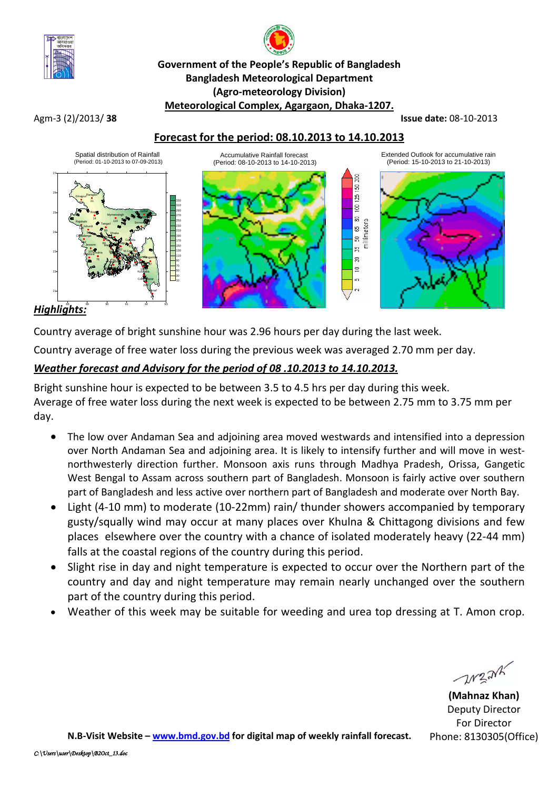

# **Government of the People's Republic of Bangladesh Bangladesh Meteorological Department (Agro-meteorology Division) Meteorological Complex, Agargaon, Dhaka-1207.**

Agm-3 (2)/2013/ **38 Issue date:** 08-10-2013

## **Forecast for the period: 08.10.2013 to 14.10.2013**



### *Highlights:*

Country average of bright sunshine hour was 2.96 hours per day during the last week.

Country average of free water loss during the previous week was averaged 2.70 mm per day.

# *Weather forecast and Advisory for the period of 08 .10.2013 to 14.10.2013.*

Bright sunshine hour is expected to be between 3.5 to 4.5 hrs per day during this week. Average of free water loss during the next week is expected to be between 2.75 mm to 3.75 mm per day.

- The low over Andaman Sea and adjoining area moved westwards and intensified into a depression over North Andaman Sea and adjoining area. It is likely to intensify further and will move in westnorthwesterly direction further. Monsoon axis runs through Madhya Pradesh, Orissa, Gangetic West Bengal to Assam across southern part of Bangladesh. Monsoon is fairly active over southern part of Bangladesh and less active over northern part of Bangladesh and moderate over North Bay.
- Light (4-10 mm) to moderate (10-22mm) rain/ thunder showers accompanied by temporary gusty/squally wind may occur at many places over Khulna & Chittagong divisions and few places elsewhere over the country with a chance of isolated moderately heavy (22-44 mm) falls at the coastal regions of the country during this period.
- Slight rise in day and night temperature is expected to occur over the Northern part of the country and day and night temperature may remain nearly unchanged over the southern part of the country during this period.
- Weather of this week may be suitable for weeding and urea top dressing at T. Amon crop.

**WEAK** 

**(Mahnaz Khan)** Deputy Director For Director Phone: 8130305(Office)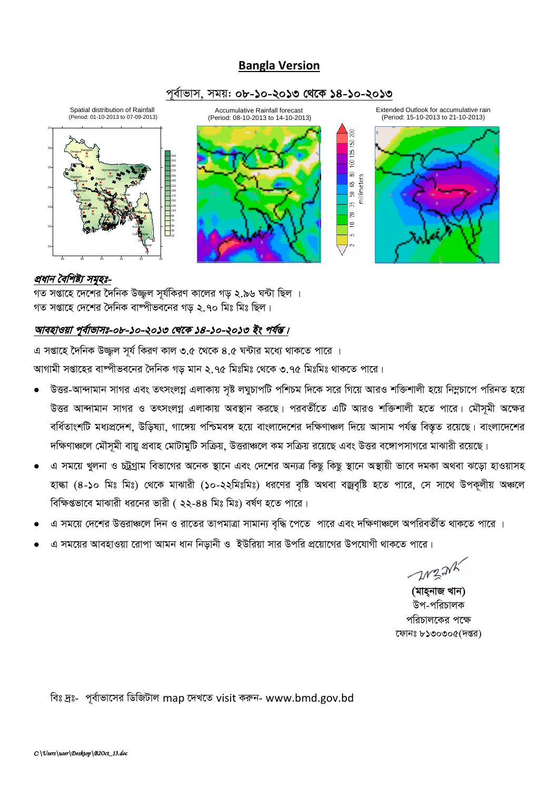# **Bangla Version**





#### *প্রধান বৈশিষ্ট্য সমৃহঃ-*

 $\frac{1}{2}$  সপ্তাহে দেশের দৈনিক উজ্জল সর্যকিরণ কালের গড ২.৯৬ ঘন্টা ছিল । গত সপ্তাহে দেশের দৈনিক বাষ্পীভবনের গড় ২.৭০ মিঃ মিঃ ছিল।

#### আবহাওয়া পূৰ্বাভাসঃ-০৮-১০-২০১৩ থেকে ১৪-১০-২০১৩ *ইং পৰ্য*ন্ত।

*G mßv‡n ‰`wbK D¾¡j m~h© wKiY Kvj 3.5 ‡\_‡K 4.5 N›Uvi g‡a¨ \_vK‡Z cv‡i |* স্মাগামী সপ্তাহের বাম্পীভবনের দৈনিক গড় মান ২.৭৫ মিঃমিঃ থেকে ৩.৭৫ মিঃমিঃ থাকতে পারে।

- *DËi-Av›`vgvb mvMi Ges ZrmsjMœ GjvKvq m"ó jNyPvcwU cwkPg w`‡K m‡i wM‡q AviI kw³kvjx n‡q* wb¤œPv‡c *cwibZ n‡q* উত্তর আন্দামান সাগর ও তৎসংলগ্ন এলাকায় অবস্থান করছে। পরবর্তীতে এটি আরও শক্তিশালী হতে পারে। মৌসূমী অক্ষের *ৰ* ধিতাংশটি মধ্যপ্ৰদেশ, উড়িষ্যা, গাঙ্গেয় পশ্চিমবঙ্গ হয়ে বাংলাদেশের দক্ষিণাঞ্চল দিয়ে আসাম পৰ্যন্ত বিস্তৃত রয়েছে। বাংলাদেশের *দ*ক্ষিণাঞ্চলে মৌসমী বায়ু প্রবাহ মোটামুটি সক্রিয়, উত্তরাঞ্চলে কম সক্রিয় রয়েছে এবং উত্তর বঙ্গোপসাগরে মাঝারী রয়েছে।
- এ সময়ে খুলনা ও চট্টগ্রাম বিভাগের অনেক স্থানে এবং দেশের অন্যত্র কিছু কিছু স্থানে অস্থায়ী ভাবে দমকা অথবা ঝড়ো হাওয়াসহ হাল্কা (8-১০ মিঃ মিঃ) থেকে মাঝারী (১০-২২মিঃমিঃ) ধরণের বৃষ্টি অথবা বজ্রবৃষ্টি হতে পারে, সে সাথে উপকূলীয় অঞ্চলে *বি*ক্ষিপ্তভাবে মাঝারী ধরনের ভারী ( ২২-৪৪ মিঃ মিঃ) বর্ষণ হতে পারে।
- *G mg‡q †`‡ki DËiv‡j w`b I iv‡Zi ZvcgvÎv mvgvb¨ e"w× ‡c‡Z cv‡i Ges `wÿYv‡j AcwieZx©Z \_vK‡Z cv‡i |*
- *G mg‡qi AvenvIqv ‡ivcv Avgb avb wbovbx I BDwiqv mvi Dcwi cÖ‡qv‡Mi Dc‡hvMx \_vK‡Z cv‡i|*

 $11221$ 

*(মাহনাজ খান) উপ-প*রিচালক *প*রিচালকের পক্ষে *‡dvbt 8130305(`ßi)*

*wet `ªt- c~e©vfv‡mi wWwRUvj* map *‡`L‡Z* visit *Kiæb-* www.bmd.gov.bd